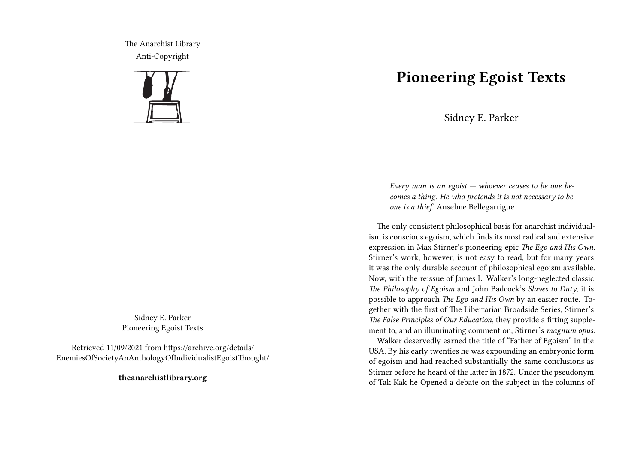The Anarchist Library Anti-Copyright



Sidney E. Parker Pioneering Egoist Texts

Retrieved 11/09/2021 from https://archive.org/details/ EnemiesOfSocietyAnAnthologyOfIndividualistEgoistThought/

**theanarchistlibrary.org**

## **Pioneering Egoist Texts**

Sidney E. Parker

*Every man is an egoist — whoever ceases to be one becomes a thing. He who pretends it is not necessary to be one is a thief.* Anselme Bellegarrigue

The only consistent philosophical basis for anarchist individualism is conscious egoism, which finds its most radical and extensive expression in Max Stirner's pioneering epic *The Ego and His Own*. Stirner's work, however, is not easy to read, but for many years it was the only durable account of philosophical egoism available. Now, with the reissue of James L. Walker's long-neglected classic *The Philosophy of Egoism* and John Badcock's *Slaves to Duty*, it is possible to approach *The Ego and His Own* by an easier route. Together with the first of The Libertarian Broadside Series, Stirner's *The False Principles of Our Education*, they provide a fitting supplement to, and an illuminating comment on, Stirner's *magnum opus*.

Walker deservedly earned the title of "Father of Egoism" in the USA. By his early twenties he was expounding an embryonic form of egoism and had reached substantially the same conclusions as Stirner before he heard of the latter in 1872. Under the pseudonym of Tak Kak he Opened a debate on the subject in the columns of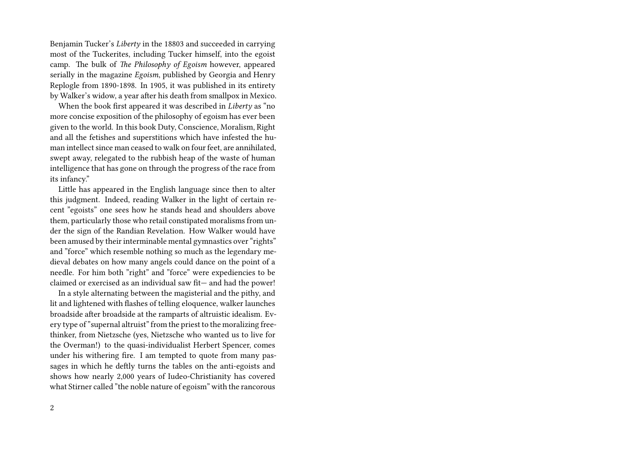Benjamin Tucker's *Liberty* in the 18803 and succeeded in carrying most of the Tuckerites, including Tucker himself, into the egoist camp. The bulk of *The Philosophy of Egoism* however, appeared serially in the magazine *Egoism*, published by Georgia and Henry Replogle from 1890-1898. In 1905, it was published in its entirety by Walker's widow, a year after his death from smallpox in Mexico.

When the book first appeared it was described in *Liberty* as "no more concise exposition of the philosophy of egoism has ever been given to the world. In this book Duty, Conscience, Moralism, Right and all the fetishes and superstitions which have infested the human intellect since man ceased to walk on four feet, are annihilated, swept away, relegated to the rubbish heap of the waste of human intelligence that has gone on through the progress of the race from its infancy."

Little has appeared in the English language since then to alter this judgment. Indeed, reading Walker in the light of certain recent "egoists" one sees how he stands head and shoulders above them, particularly those who retail constipated moralisms from under the sign of the Randian Revelation. How Walker would have been amused by their interminable mental gymnastics over "rights" and "force" which resemble nothing so much as the legendary medieval debates on how many angels could dance on the point of a needle. For him both "right" and "force" were expediencies to be claimed or exercised as an individual saw fit— and had the power!

In a style alternating between the magisterial and the pithy, and lit and lightened with flashes of telling eloquence, walker launches broadside after broadside at the ramparts of altruistic idealism. Every type of "supernal altruist" from the priest to the moralizing freethinker, from Nietzsche (yes, Nietzsche who wanted us to live for the Overman!) to the quasi-individualist Herbert Spencer, comes under his withering fire. I am tempted to quote from many passages in which he deftly turns the tables on the anti-egoists and shows how nearly 2,000 years of Iudeo-Christianity has covered what Stirner called "the noble nature of egoism" with the rancorous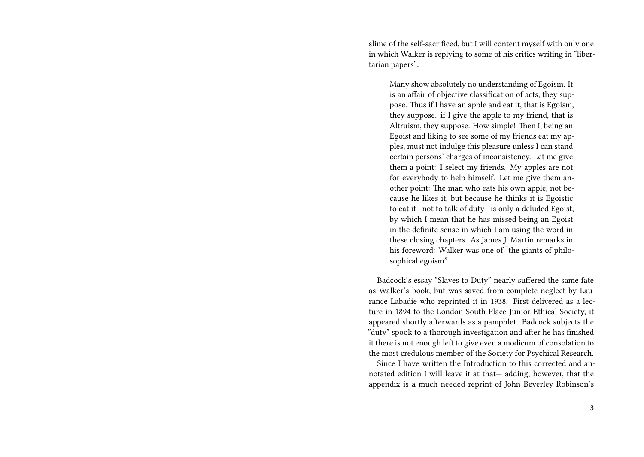slime of the self-sacrificed, but I will content myself with only one in which Walker is replying to some of his critics writing in "libertarian papers":

Many show absolutely no understanding of Egoism. It is an affair of objective classification of acts, they suppose. Thus if I have an apple and eat it, that is Egoism, they suppose. if I give the apple to my friend, that is Altruism, they suppose. How simple! Then I, being an Egoist and liking to see some of my friends eat my apples, must not indulge this pleasure unless I can stand certain persons' charges of inconsistency. Let me give them a point: I select my friends. My apples are not for everybody to help himself. Let me give them another point: The man who eats his own apple, not because he likes it, but because he thinks it is Egoistic to eat it—not to talk of duty—is only a deluded Egoist, by which I mean that he has missed being an Egoist in the definite sense in which I am using the word in these closing chapters. As James J. Martin remarks in his foreword: Walker was one of "the giants of philosophical egoism".

Badcock's essay "Slaves to Duty" nearly suffered the same fate as Walker's book, but was saved from complete neglect by Laurance Labadie who reprinted it in 1938. First delivered as a lecture in 1894 to the London South Place Junior Ethical Society, it appeared shortly afterwards as a pamphlet. Badcock subjects the "duty" spook to a thorough investigation and after he has finished it there is not enough left to give even a modicum of consolation to the most credulous member of the Society for Psychical Research.

Since I have written the Introduction to this corrected and annotated edition I will leave it at that— adding, however, that the appendix is a much needed reprint of John Beverley Robinson's